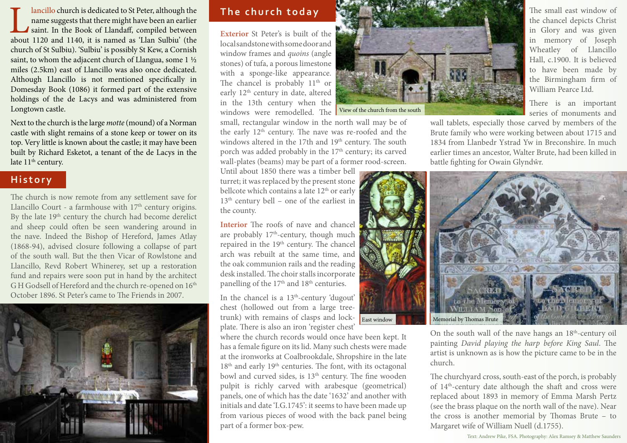Iancillo church is dedicated to St Peter, although the name suggests that there might have been an earlier saint. In the Book of Llandaff, compiled between about 1120 and 1140, it is named as 'Llan Sulbiu' (the name suggests that there might have been an earlier saint. In the Book of Llandaff, compiled between about 1120 and 1140, it is named as 'Llan Sulbiu' (the church of St Sulbiu). 'Sulbiu' is possibly St Kew, a Cornish saint, to whom the adjacent church of Llangua, some 1 ½ miles (2.5km) east of Llancillo was also once dedicated. Although Llancillo is not mentioned specifically in Domesday Book (1086) it formed part of the extensive holdings of the de Lacys and was administered from Longtown castle.

Next to the church is the large *motte* (mound) of a Norman castle with slight remains of a stone keep or tower on its top. Very little is known about the castle; it may have been built by Richard Esketot, a tenant of the de Lacys in the late 11<sup>th</sup> century.

## **History**

The church is now remote from any settlement save for Llancillo Court - a farmhouse with  $17<sup>th</sup>$  century origins. By the late 19<sup>th</sup> century the church had become derelict and sheep could often be seen wandering around in the nave. Indeed the Bishop of Hereford, James Atlay (1868-94), advised closure following a collapse of part of the south wall. But the then Vicar of Rowlstone and Llancillo, Revd Robert Whinerey, set up a restoration fund and repairs were soon put in hand by the architect GH Godsell of Hereford and the church re-opened on  $16<sup>th</sup>$ October 1896. St Peter's came to The Friends in 2007.



# **The church today**

**Exterior** St Peter's is built of the local sandstone with some door and window frames and *quoins* (angle stones) of tufa, a porous limestone with a sponge-like appearance. The chancel is probably 11<sup>th</sup> or early 12<sup>th</sup> century in date, altered in the 13th century when the windows were remodelled. The



Until about 1850 there was a timber bell turret; it was replaced by the present stone bellcote which contains a late 12<sup>th</sup> or early  $13<sup>th</sup>$  century bell – one of the earliest in the county.

**Interior** The roofs of nave and chancel are probably  $17<sup>th</sup>$ -century, though much repaired in the 19<sup>th</sup> century. The chancel arch was rebuilt at the same time, and the oak communion rails and the reading desk installed. The choir stalls incorporate panelling of the  $17<sup>th</sup>$  and  $18<sup>th</sup>$  centuries.

In the chancel is a  $13<sup>th</sup>$ -century 'dugout' chest (hollowed out from a large treetrunk) with remains of clasps and lockplate. There is also an iron 'register chest'

where the church records would once have been kept. It has a female figure on its lid. Many such chests were made at the ironworks at Coalbrookdale, Shropshire in the late 18<sup>th</sup> and early 19<sup>th</sup> centuries. The font, with its octagonal bowl and curved sides, is 13<sup>th</sup> century. The fine wooden pulpit is richly carved with arabesque (geometrical) panels, one of which has the date '1632' and another with initials and date 'I.G.1745': it seems to have been made up from various pieces of wood with the back panel being part of a former box-pew.



View of the church from the south

wall tablets, especially those carved by members of the Brute family who were working between about 1715 and 1834 from Llanbedr Ystrad Yw in Breconshire. In much earlier times an ancestor, Walter Brute, had been killed in battle fighting for Owain Glyndŵr.



On the south wall of the nave hangs an 18<sup>th</sup>-century oil painting *David playing the harp before King Saul*. The artist is unknown as is how the picture came to be in the church.

The churchyard cross, south-east of the porch, is probably of 14<sup>th</sup>-century date although the shaft and cross were replaced about 1893 in memory of Emma Marsh Pertz (see the brass plaque on the north wall of the nave). Near the cross is another memorial by Thomas Brute – to Margaret wife of William Nuell (d.1755).

Text: Andrew Pike, FSA. Photography: Alex Ramsey & Matthew Saunders

The small east window of the chancel depicts Christ in Glory and was given in memory of Joseph Wheatley of Llancillo Hall, c.1900. It is believed to have been made by the Birmingham firm of William Pearce Ltd.

There is an important series of monuments and